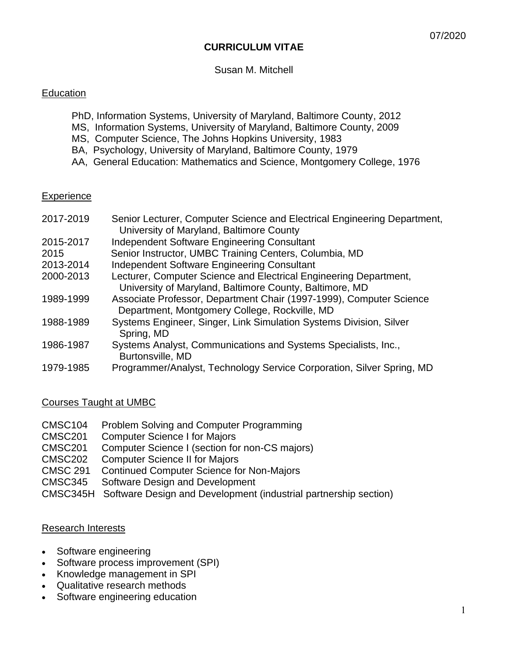### **CURRICULUM VITAE**

Susan M. Mitchell

### **Education**

- PhD, Information Systems, University of Maryland, Baltimore County, 2012
- MS, Information Systems, University of Maryland, Baltimore County, 2009
- MS, Computer Science, The Johns Hopkins University, 1983
- BA, Psychology, University of Maryland, Baltimore County, 1979
- AA, General Education: Mathematics and Science, Montgomery College, 1976

### **Experience**

| 2017-2019 | Senior Lecturer, Computer Science and Electrical Engineering Department,<br>University of Maryland, Baltimore County         |
|-----------|------------------------------------------------------------------------------------------------------------------------------|
| 2015-2017 | <b>Independent Software Engineering Consultant</b>                                                                           |
| 2015      | Senior Instructor, UMBC Training Centers, Columbia, MD                                                                       |
| 2013-2014 | Independent Software Engineering Consultant                                                                                  |
| 2000-2013 | Lecturer, Computer Science and Electrical Engineering Department,<br>University of Maryland, Baltimore County, Baltimore, MD |
| 1989-1999 | Associate Professor, Department Chair (1997-1999), Computer Science<br>Department, Montgomery College, Rockville, MD         |
| 1988-1989 | Systems Engineer, Singer, Link Simulation Systems Division, Silver<br>Spring, MD                                             |
| 1986-1987 | Systems Analyst, Communications and Systems Specialists, Inc.,<br>Burtonsville, MD                                           |
| 1979-1985 | Programmer/Analyst, Technology Service Corporation, Silver Spring, MD                                                        |

### Courses Taught at UMBC

- CMSC104 Problem Solving and Computer Programming
- CMSC201 Computer Science I for Majors
- CMSC201 Computer Science I (section for non-CS majors)
- CMSC202 Computer Science II for Majors
- CMSC 291 Continued Computer Science for Non-Majors
- CMSC345 Software Design and Development
- CMSC345H Software Design and Development (industrial partnership section)

### Research Interests

- Software engineering
- Software process improvement (SPI)
- Knowledge management in SPI
- Qualitative research methods
- Software engineering education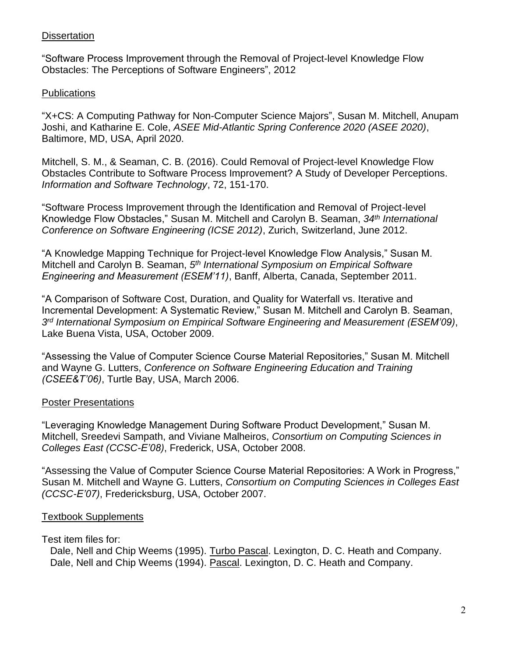### **Dissertation**

"Software Process Improvement through the Removal of Project-level Knowledge Flow Obstacles: The Perceptions of Software Engineers", 2012

## **Publications**

"X+CS: A Computing Pathway for Non-Computer Science Majors", Susan M. Mitchell, Anupam Joshi, and Katharine E. Cole, *ASEE Mid-Atlantic Spring Conference 2020 (ASEE 2020)*, Baltimore, MD, USA, April 2020.

Mitchell, S. M., & Seaman, C. B. (2016). Could Removal of Project-level Knowledge Flow Obstacles Contribute to Software Process Improvement? A Study of Developer Perceptions. *Information and Software Technology*, 72, 151-170.

"Software Process Improvement through the Identification and Removal of Project-level Knowledge Flow Obstacles," Susan M. Mitchell and Carolyn B. Seaman, *34th International Conference on Software Engineering (ICSE 2012)*, Zurich, Switzerland, June 2012.

"A Knowledge Mapping Technique for Project-level Knowledge Flow Analysis," Susan M. Mitchell and Carolyn B. Seaman, *5 th International Symposium on Empirical Software Engineering and Measurement (ESEM'11)*, Banff, Alberta, Canada, September 2011.

"A Comparison of Software Cost, Duration, and Quality for Waterfall vs. Iterative and Incremental Development: A Systematic Review," Susan M. Mitchell and Carolyn B. Seaman, *3 rd International Symposium on Empirical Software Engineering and Measurement (ESEM'09)*, Lake Buena Vista, USA, October 2009.

"Assessing the Value of Computer Science Course Material Repositories," Susan M. Mitchell and Wayne G. Lutters, *Conference on Software Engineering Education and Training (CSEE&T'06)*, Turtle Bay, USA, March 2006.

### Poster Presentations

"Leveraging Knowledge Management During Software Product Development," Susan M. Mitchell, Sreedevi Sampath, and Viviane Malheiros, *Consortium on Computing Sciences in Colleges East (CCSC-E'08)*, Frederick, USA, October 2008.

"Assessing the Value of Computer Science Course Material Repositories: A Work in Progress," Susan M. Mitchell and Wayne G. Lutters, *Consortium on Computing Sciences in Colleges East (CCSC-E'07)*, Fredericksburg, USA, October 2007.

# Textbook Supplements

### Test item files for:

Dale, Nell and Chip Weems (1995). Turbo Pascal. Lexington, D. C. Heath and Company. Dale, Nell and Chip Weems (1994). Pascal. Lexington, D. C. Heath and Company.